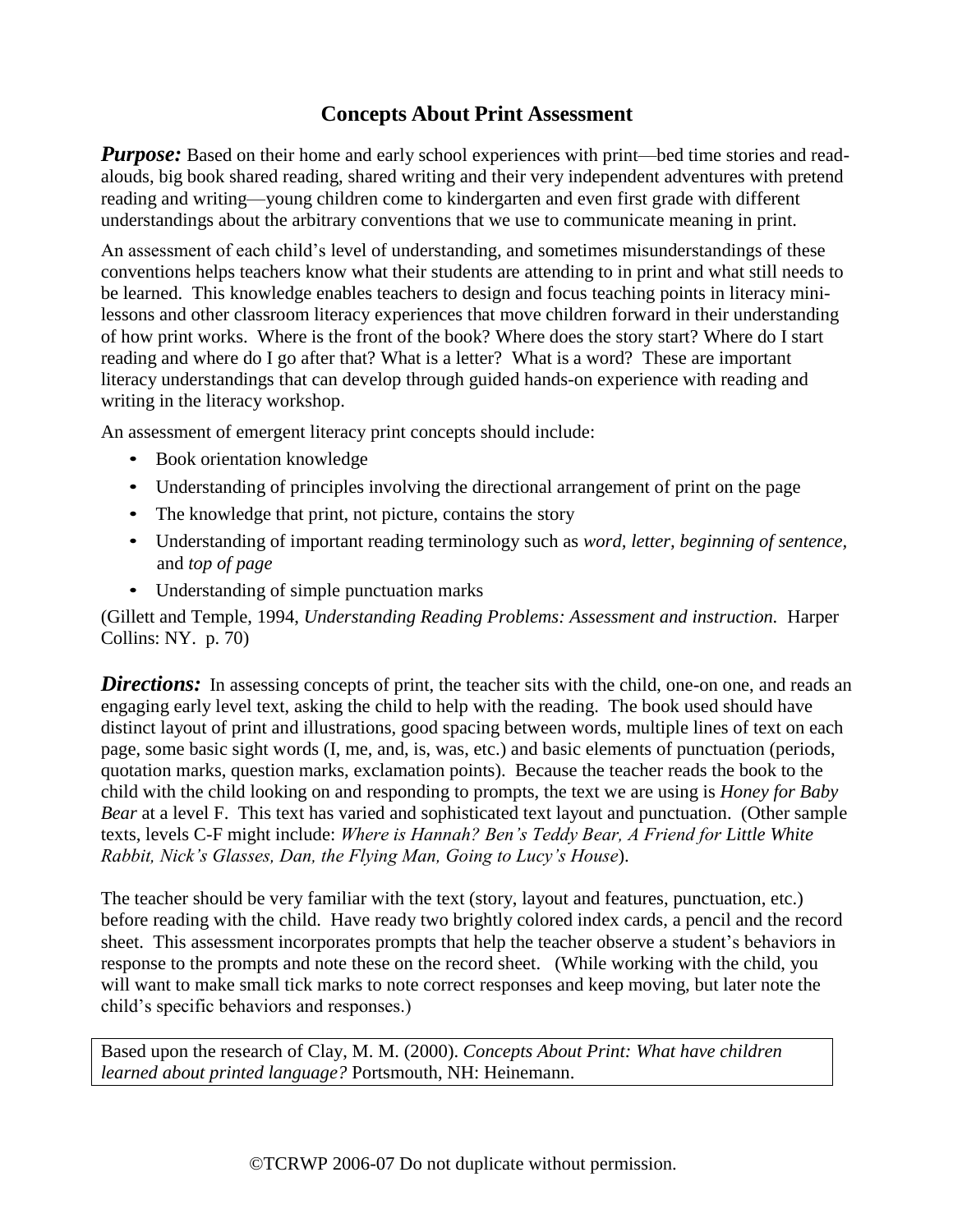## **Concepts About Print Assessment**

*Purpose:* Based on their home and early school experiences with print—bed time stories and readalouds, big book shared reading, shared writing and their very independent adventures with pretend reading and writing—young children come to kindergarten and even first grade with different understandings about the arbitrary conventions that we use to communicate meaning in print.

An assessment of each child"s level of understanding, and sometimes misunderstandings of these conventions helps teachers know what their students are attending to in print and what still needs to be learned. This knowledge enables teachers to design and focus teaching points in literacy minilessons and other classroom literacy experiences that move children forward in their understanding of how print works. Where is the front of the book? Where does the story start? Where do I start reading and where do I go after that? What is a letter? What is a word? These are important literacy understandings that can develop through guided hands-on experience with reading and writing in the literacy workshop.

An assessment of emergent literacy print concepts should include:

- Book orientation knowledge
- Understanding of principles involving the directional arrangement of print on the page
- The knowledge that print, not picture, contains the story
- Understanding of important reading terminology such as *word, letter, beginning of sentence,* and *top of page*
- Understanding of simple punctuation marks

(Gillett and Temple, 1994, *Understanding Reading Problems: Assessment and instruction.* Harper Collins: NY. p. 70)

**Directions:** In assessing concepts of print, the teacher sits with the child, one-on one, and reads an engaging early level text, asking the child to help with the reading. The book used should have distinct layout of print and illustrations, good spacing between words, multiple lines of text on each page, some basic sight words (I, me, and, is, was, etc.) and basic elements of punctuation (periods, quotation marks, question marks, exclamation points). Because the teacher reads the book to the child with the child looking on and responding to prompts, the text we are using is *Honey for Baby Bear* at a level F. This text has varied and sophisticated text layout and punctuation. (Other sample texts, levels C-F might include: *Where is Hannah? Ben's Teddy Bear, A Friend for Little White Rabbit, Nick's Glasses, Dan, the Flying Man, Going to Lucy's House*).

The teacher should be very familiar with the text (story, layout and features, punctuation, etc.) before reading with the child. Have ready two brightly colored index cards, a pencil and the record sheet. This assessment incorporates prompts that help the teacher observe a student"s behaviors in response to the prompts and note these on the record sheet. (While working with the child, you will want to make small tick marks to note correct responses and keep moving, but later note the child"s specific behaviors and responses.)

Based upon the research of Clay, M. M. (2000). *Concepts About Print: What have children learned about printed language?* Portsmouth, NH: Heinemann.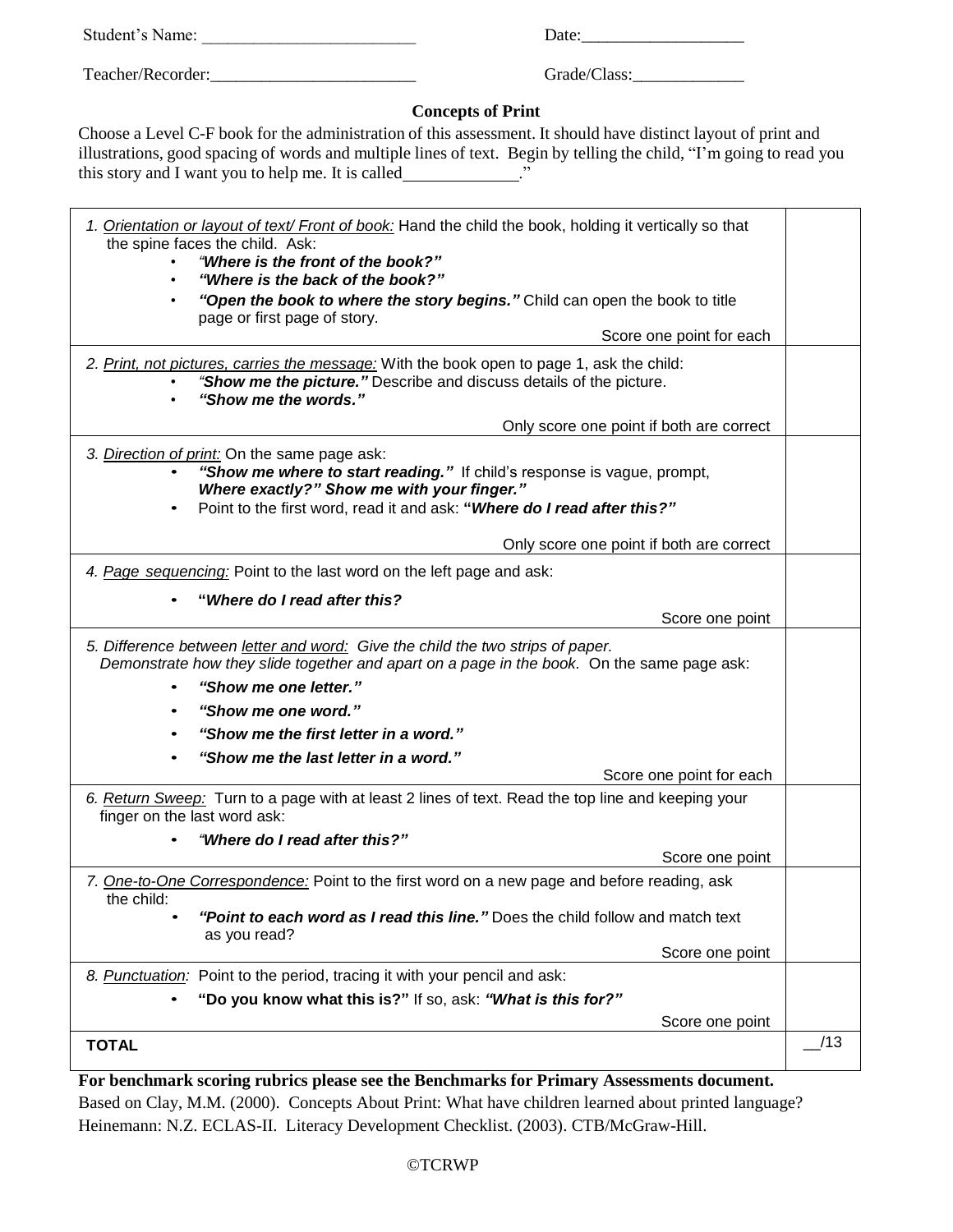Student"s Name: \_\_\_\_\_\_\_\_\_\_\_\_\_\_\_\_\_\_\_\_\_\_\_\_\_ Date:\_\_\_\_\_\_\_\_\_\_\_\_\_\_\_\_\_\_\_ Teacher/Recorder:\_\_\_\_\_\_\_\_\_\_\_\_\_\_\_\_\_\_\_\_\_\_\_\_ Grade/Class:\_\_\_\_\_\_\_\_\_\_\_\_\_

## **Concepts of Print**

Choose a Level C-F book for the administration of this assessment. It should have distinct layout of print and illustrations, good spacing of words and multiple lines of text. Begin by telling the child, "I"m going to read you this story and I want you to help me. It is called ."

| 1. Orientation or layout of text/ Front of book: Hand the child the book, holding it vertically so that<br>the spine faces the child. Ask:<br>"Where is the front of the book?"<br>"Where is the back of the book?"<br>"Open the book to where the story begins." Child can open the book to title<br>$\bullet$<br>page or first page of story.<br>Score one point for each |     |
|-----------------------------------------------------------------------------------------------------------------------------------------------------------------------------------------------------------------------------------------------------------------------------------------------------------------------------------------------------------------------------|-----|
| 2. Print, not pictures, carries the message: With the book open to page 1, ask the child:<br>"Show me the picture." Describe and discuss details of the picture.<br>"Show me the words."<br>Only score one point if both are correct                                                                                                                                        |     |
| 3. Direction of print: On the same page ask:<br>"Show me where to start reading." If child's response is vague, prompt,<br>Where exactly?" Show me with your finger."<br>Point to the first word, read it and ask: "Where do I read after this?"                                                                                                                            |     |
| Only score one point if both are correct                                                                                                                                                                                                                                                                                                                                    |     |
| 4. Page sequencing: Point to the last word on the left page and ask:                                                                                                                                                                                                                                                                                                        |     |
| "Where do I read after this?<br>Score one point                                                                                                                                                                                                                                                                                                                             |     |
| 5. Difference between letter and word: Give the child the two strips of paper.<br>Demonstrate how they slide together and apart on a page in the book. On the same page ask:                                                                                                                                                                                                |     |
| "Show me one letter."                                                                                                                                                                                                                                                                                                                                                       |     |
| "Show me one word."                                                                                                                                                                                                                                                                                                                                                         |     |
| "Show me the first letter in a word."                                                                                                                                                                                                                                                                                                                                       |     |
| "Show me the last letter in a word."                                                                                                                                                                                                                                                                                                                                        |     |
| Score one point for each                                                                                                                                                                                                                                                                                                                                                    |     |
| 6. Return Sweep: Turn to a page with at least 2 lines of text. Read the top line and keeping your<br>finger on the last word ask:                                                                                                                                                                                                                                           |     |
| "Where do I read after this?"                                                                                                                                                                                                                                                                                                                                               |     |
| Score one point                                                                                                                                                                                                                                                                                                                                                             |     |
| 7. One-to-One Correspondence: Point to the first word on a new page and before reading, ask<br>the child:                                                                                                                                                                                                                                                                   |     |
| "Point to each word as I read this line." Does the child follow and match text<br>as you read?                                                                                                                                                                                                                                                                              |     |
| Score one point                                                                                                                                                                                                                                                                                                                                                             |     |
| 8. Punctuation: Point to the period, tracing it with your pencil and ask:                                                                                                                                                                                                                                                                                                   |     |
| "Do you know what this is?" If so, ask: "What is this for?"                                                                                                                                                                                                                                                                                                                 |     |
| Score one point                                                                                                                                                                                                                                                                                                                                                             |     |
| <b>TOTAL</b>                                                                                                                                                                                                                                                                                                                                                                | /13 |

## **For benchmark scoring rubrics please see the Benchmarks for Primary Assessments document.**

Based on Clay, M.M. (2000). Concepts About Print: What have children learned about printed language? Heinemann: N.Z. ECLAS-II. Literacy Development Checklist. (2003). CTB/McGraw-Hill.